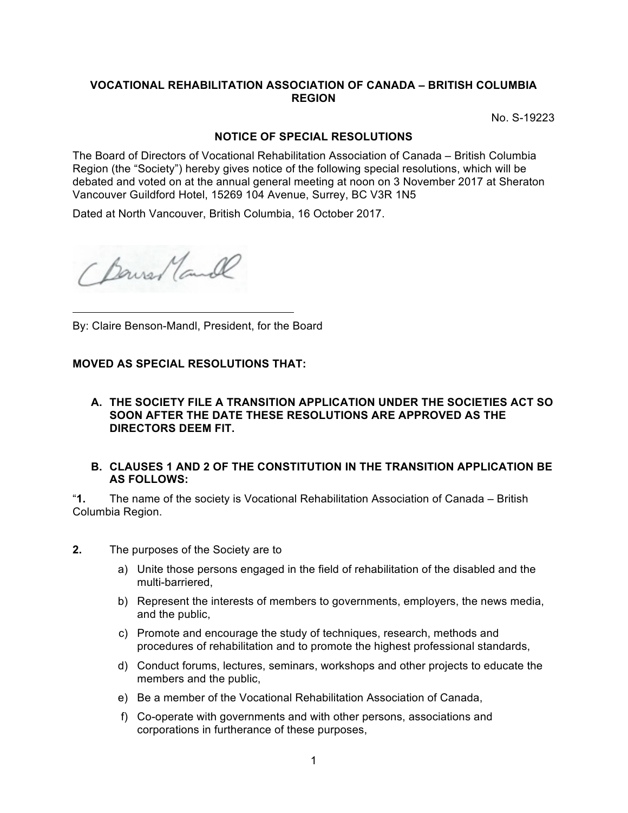## **VOCATIONAL REHABILITATION ASSOCIATION OF CANADA – BRITISH COLUMBIA REGION**

No. S-19223

### **NOTICE OF SPECIAL RESOLUTIONS**

The Board of Directors of Vocational Rehabilitation Association of Canada – British Columbia Region (the "Society") hereby gives notice of the following special resolutions, which will be debated and voted on at the annual general meeting at noon on 3 November 2017 at Sheraton Vancouver Guildford Hotel, 15269 104 Avenue, Surrey, BC V3R 1N5

Dated at North Vancouver, British Columbia, 16 October 2017.

Chause Mande

By: Claire Benson-Mandl, President, for the Board

#### **MOVED AS SPECIAL RESOLUTIONS THAT:**

#### **A. THE SOCIETY FILE A TRANSITION APPLICATION UNDER THE SOCIETIES ACT SO SOON AFTER THE DATE THESE RESOLUTIONS ARE APPROVED AS THE DIRECTORS DEEM FIT.**

#### **B. CLAUSES 1 AND 2 OF THE CONSTITUTION IN THE TRANSITION APPLICATION BE AS FOLLOWS:**

"**1.** The name of the society is Vocational Rehabilitation Association of Canada – British Columbia Region.

- **2.** The purposes of the Society are to
	- a) Unite those persons engaged in the field of rehabilitation of the disabled and the multi-barriered,
	- b) Represent the interests of members to governments, employers, the news media, and the public,
	- c) Promote and encourage the study of techniques, research, methods and procedures of rehabilitation and to promote the highest professional standards,
	- d) Conduct forums, lectures, seminars, workshops and other projects to educate the members and the public,
	- e) Be a member of the Vocational Rehabilitation Association of Canada,
	- f) Co-operate with governments and with other persons, associations and corporations in furtherance of these purposes,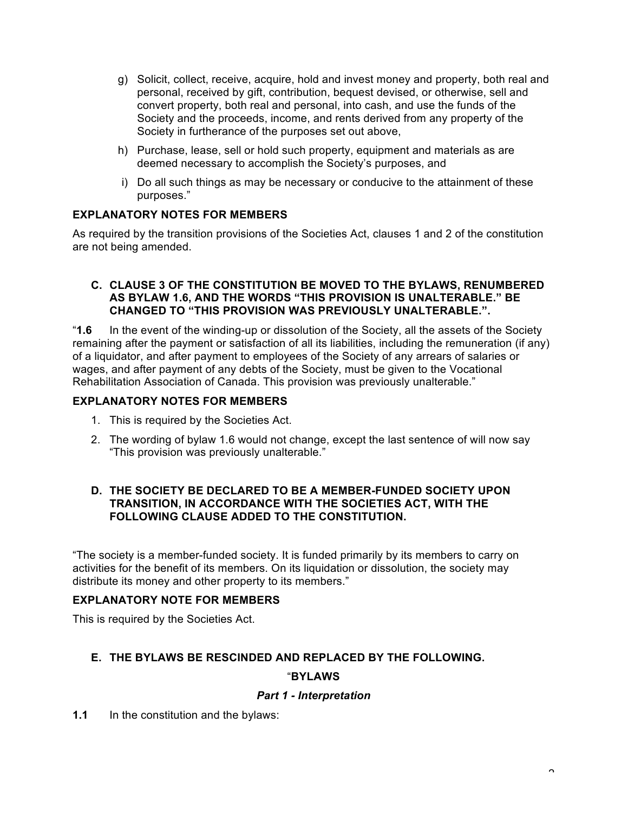- g) Solicit, collect, receive, acquire, hold and invest money and property, both real and personal, received by gift, contribution, bequest devised, or otherwise, sell and convert property, both real and personal, into cash, and use the funds of the Society and the proceeds, income, and rents derived from any property of the Society in furtherance of the purposes set out above,
- h) Purchase, lease, sell or hold such property, equipment and materials as are deemed necessary to accomplish the Society's purposes, and
- i) Do all such things as may be necessary or conducive to the attainment of these purposes."

# **EXPLANATORY NOTES FOR MEMBERS**

As required by the transition provisions of the Societies Act, clauses 1 and 2 of the constitution are not being amended.

## **C. CLAUSE 3 OF THE CONSTITUTION BE MOVED TO THE BYLAWS, RENUMBERED AS BYLAW 1.6, AND THE WORDS "THIS PROVISION IS UNALTERABLE." BE CHANGED TO "THIS PROVISION WAS PREVIOUSLY UNALTERABLE.".**

"**1.6** In the event of the winding-up or dissolution of the Society, all the assets of the Society remaining after the payment or satisfaction of all its liabilities, including the remuneration (if any) of a liquidator, and after payment to employees of the Society of any arrears of salaries or wages, and after payment of any debts of the Society, must be given to the Vocational Rehabilitation Association of Canada. This provision was previously unalterable."

## **EXPLANATORY NOTES FOR MEMBERS**

- 1. This is required by the Societies Act.
- 2. The wording of bylaw 1.6 would not change, except the last sentence of will now say "This provision was previously unalterable."

### **D. THE SOCIETY BE DECLARED TO BE A MEMBER-FUNDED SOCIETY UPON TRANSITION, IN ACCORDANCE WITH THE SOCIETIES ACT, WITH THE FOLLOWING CLAUSE ADDED TO THE CONSTITUTION.**

"The society is a member-funded society. It is funded primarily by its members to carry on activities for the benefit of its members. On its liquidation or dissolution, the society may distribute its money and other property to its members."

# **EXPLANATORY NOTE FOR MEMBERS**

This is required by the Societies Act.

# **E. THE BYLAWS BE RESCINDED AND REPLACED BY THE FOLLOWING.**

## "**BYLAWS**

## *Part 1 - Interpretation*

## **1.1** In the constitution and the bylaws: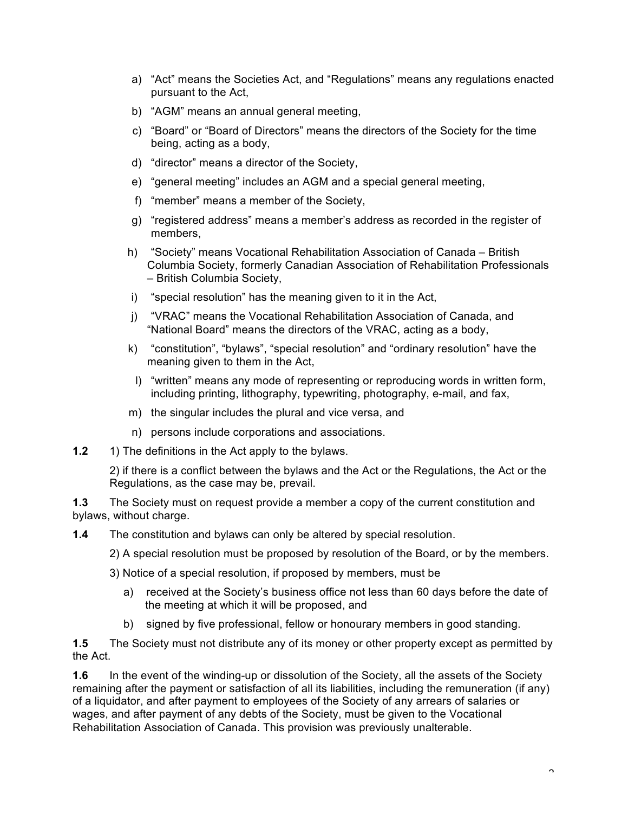- a) "Act" means the Societies Act, and "Regulations" means any regulations enacted pursuant to the Act,
- b) "AGM" means an annual general meeting,
- c) "Board" or "Board of Directors" means the directors of the Society for the time being, acting as a body,
- d) "director" means a director of the Society,
- e) "general meeting" includes an AGM and a special general meeting,
- f) "member" means a member of the Society,
- g) "registered address" means a member's address as recorded in the register of members,
- h) "Society" means Vocational Rehabilitation Association of Canada British Columbia Society, formerly Canadian Association of Rehabilitation Professionals – British Columbia Society,
- i) "special resolution" has the meaning given to it in the Act,
- j) "VRAC" means the Vocational Rehabilitation Association of Canada, and "National Board" means the directors of the VRAC, acting as a body,
- k) "constitution", "bylaws", "special resolution" and "ordinary resolution" have the meaning given to them in the Act,
	- l) "written" means any mode of representing or reproducing words in written form, including printing, lithography, typewriting, photography, e-mail, and fax,
- m) the singular includes the plural and vice versa, and
- n) persons include corporations and associations.
- **1.2** 1) The definitions in the Act apply to the bylaws.

2) if there is a conflict between the bylaws and the Act or the Regulations, the Act or the Regulations, as the case may be, prevail.

**1.3** The Society must on request provide a member a copy of the current constitution and bylaws, without charge.

**1.4** The constitution and bylaws can only be altered by special resolution.

- 2) A special resolution must be proposed by resolution of the Board, or by the members.
- 3) Notice of a special resolution, if proposed by members, must be
	- a) received at the Society's business office not less than 60 days before the date of the meeting at which it will be proposed, and
	- b) signed by five professional, fellow or honourary members in good standing.

**1.5** The Society must not distribute any of its money or other property except as permitted by the Act.

**1.6** In the event of the winding-up or dissolution of the Society, all the assets of the Society remaining after the payment or satisfaction of all its liabilities, including the remuneration (if any) of a liquidator, and after payment to employees of the Society of any arrears of salaries or wages, and after payment of any debts of the Society, must be given to the Vocational Rehabilitation Association of Canada. This provision was previously unalterable.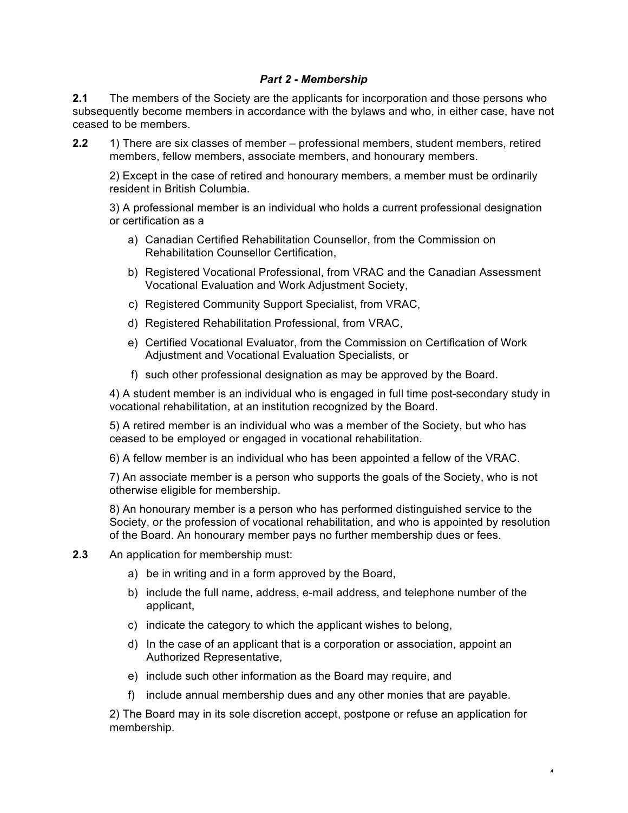## *Part 2 - Membership*

**2.1** The members of the Society are the applicants for incorporation and those persons who subsequently become members in accordance with the bylaws and who, in either case, have not ceased to be members.

**2.2** 1) There are six classes of member – professional members, student members, retired members, fellow members, associate members, and honourary members.

2) Except in the case of retired and honourary members, a member must be ordinarily resident in British Columbia.

3) A professional member is an individual who holds a current professional designation or certification as a

- a) Canadian Certified Rehabilitation Counsellor, from the Commission on Rehabilitation Counsellor Certification,
- b) Registered Vocational Professional, from VRAC and the Canadian Assessment Vocational Evaluation and Work Adjustment Society,
- c) Registered Community Support Specialist, from VRAC,
- d) Registered Rehabilitation Professional, from VRAC,
- e) Certified Vocational Evaluator, from the Commission on Certification of Work Adjustment and Vocational Evaluation Specialists, or
- f) such other professional designation as may be approved by the Board.

4) A student member is an individual who is engaged in full time post-secondary study in vocational rehabilitation, at an institution recognized by the Board.

5) A retired member is an individual who was a member of the Society, but who has ceased to be employed or engaged in vocational rehabilitation.

6) A fellow member is an individual who has been appointed a fellow of the VRAC.

7) An associate member is a person who supports the goals of the Society, who is not otherwise eligible for membership.

8) An honourary member is a person who has performed distinguished service to the Society, or the profession of vocational rehabilitation, and who is appointed by resolution of the Board. An honourary member pays no further membership dues or fees.

- **2.3** An application for membership must:
	- a) be in writing and in a form approved by the Board,
	- b) include the full name, address, e-mail address, and telephone number of the applicant,
	- c) indicate the category to which the applicant wishes to belong,
	- d) In the case of an applicant that is a corporation or association, appoint an Authorized Representative,
	- e) include such other information as the Board may require, and
	- f) include annual membership dues and any other monies that are payable.

2) The Board may in its sole discretion accept, postpone or refuse an application for membership.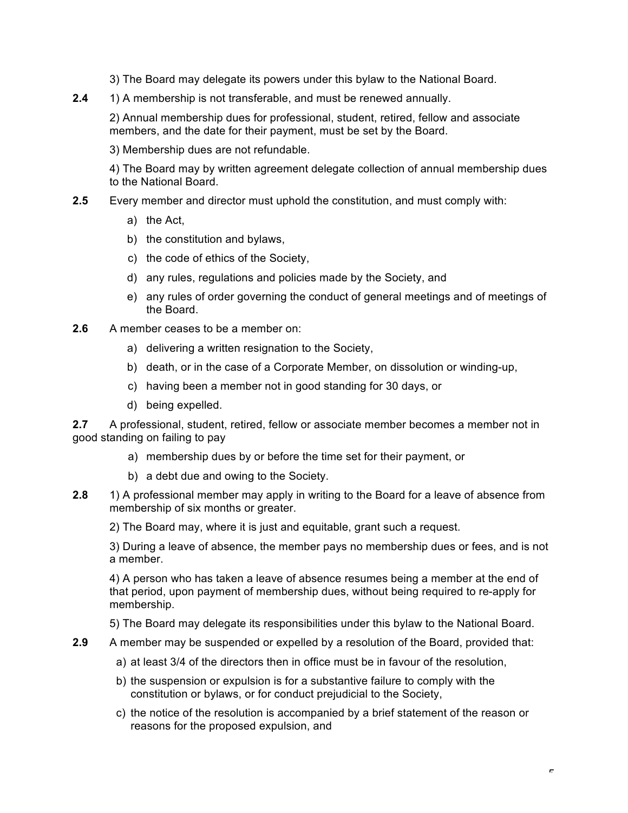3) The Board may delegate its powers under this bylaw to the National Board.

**2.4** 1) A membership is not transferable, and must be renewed annually.

2) Annual membership dues for professional, student, retired, fellow and associate members, and the date for their payment, must be set by the Board.

3) Membership dues are not refundable.

4) The Board may by written agreement delegate collection of annual membership dues to the National Board.

- **2.5** Every member and director must uphold the constitution, and must comply with:
	- a) the Act,
	- b) the constitution and bylaws,
	- c) the code of ethics of the Society,
	- d) any rules, regulations and policies made by the Society, and
	- e) any rules of order governing the conduct of general meetings and of meetings of the Board.
- **2.6** A member ceases to be a member on:
	- a) delivering a written resignation to the Society,
	- b) death, or in the case of a Corporate Member, on dissolution or winding-up,
	- c) having been a member not in good standing for 30 days, or
	- d) being expelled.

**2.7** A professional, student, retired, fellow or associate member becomes a member not in good standing on failing to pay

- a) membership dues by or before the time set for their payment, or
- b) a debt due and owing to the Society.
- **2.8** 1) A professional member may apply in writing to the Board for a leave of absence from membership of six months or greater.

2) The Board may, where it is just and equitable, grant such a request.

3) During a leave of absence, the member pays no membership dues or fees, and is not a member.

4) A person who has taken a leave of absence resumes being a member at the end of that period, upon payment of membership dues, without being required to re-apply for membership.

5) The Board may delegate its responsibilities under this bylaw to the National Board.

- **2.9** A member may be suspended or expelled by a resolution of the Board, provided that:
	- a) at least 3/4 of the directors then in office must be in favour of the resolution,
	- b) the suspension or expulsion is for a substantive failure to comply with the constitution or bylaws, or for conduct prejudicial to the Society,
	- c) the notice of the resolution is accompanied by a brief statement of the reason or reasons for the proposed expulsion, and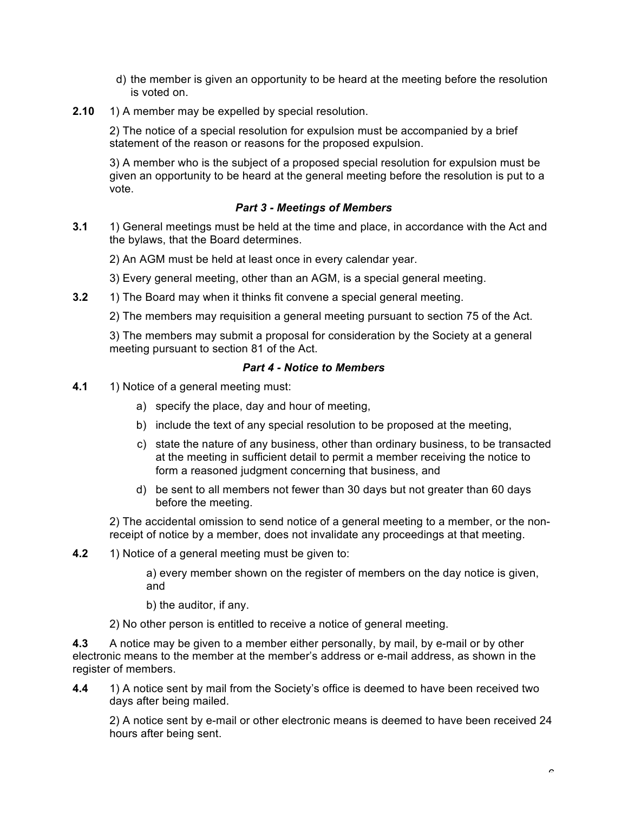- d) the member is given an opportunity to be heard at the meeting before the resolution is voted on.
- **2.10** 1) A member may be expelled by special resolution.

2) The notice of a special resolution for expulsion must be accompanied by a brief statement of the reason or reasons for the proposed expulsion.

3) A member who is the subject of a proposed special resolution for expulsion must be given an opportunity to be heard at the general meeting before the resolution is put to a vote.

## *Part 3 - Meetings of Members*

**3.1** 1) General meetings must be held at the time and place, in accordance with the Act and the bylaws, that the Board determines.

2) An AGM must be held at least once in every calendar year.

3) Every general meeting, other than an AGM, is a special general meeting.

**3.2** 1) The Board may when it thinks fit convene a special general meeting.

2) The members may requisition a general meeting pursuant to section 75 of the Act.

3) The members may submit a proposal for consideration by the Society at a general meeting pursuant to section 81 of the Act.

#### *Part 4 - Notice to Members*

- **4.1** 1) Notice of a general meeting must:
	- a) specify the place, day and hour of meeting,
	- b) include the text of any special resolution to be proposed at the meeting,
	- c) state the nature of any business, other than ordinary business, to be transacted at the meeting in sufficient detail to permit a member receiving the notice to form a reasoned judgment concerning that business, and
	- d) be sent to all members not fewer than 30 days but not greater than 60 days before the meeting.

2) The accidental omission to send notice of a general meeting to a member, or the nonreceipt of notice by a member, does not invalidate any proceedings at that meeting.

**4.2** 1) Notice of a general meeting must be given to:

a) every member shown on the register of members on the day notice is given, and

b) the auditor, if any.

2) No other person is entitled to receive a notice of general meeting.

**4.3** A notice may be given to a member either personally, by mail, by e-mail or by other electronic means to the member at the member's address or e-mail address, as shown in the register of members.

**4.4** 1) A notice sent by mail from the Society's office is deemed to have been received two days after being mailed.

2) A notice sent by e-mail or other electronic means is deemed to have been received 24 hours after being sent.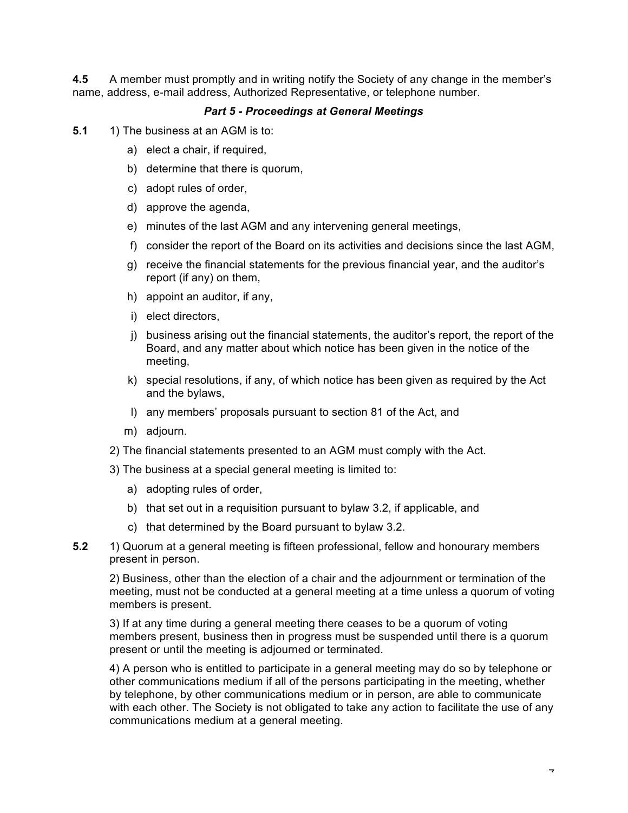**4.5** A member must promptly and in writing notify the Society of any change in the member's name, address, e-mail address, Authorized Representative, or telephone number.

### *Part 5 - Proceedings at General Meetings*

- **5.1** 1) The business at an AGM is to:
	- a) elect a chair, if required,
	- b) determine that there is quorum,
	- c) adopt rules of order,
	- d) approve the agenda,
	- e) minutes of the last AGM and any intervening general meetings,
	- f) consider the report of the Board on its activities and decisions since the last AGM,
	- g) receive the financial statements for the previous financial year, and the auditor's report (if any) on them,
	- h) appoint an auditor, if any,
	- i) elect directors,
	- j) business arising out the financial statements, the auditor's report, the report of the Board, and any matter about which notice has been given in the notice of the meeting,
	- k) special resolutions, if any, of which notice has been given as required by the Act and the bylaws,
	- l) any members' proposals pursuant to section 81 of the Act, and
	- m) adjourn.
	- 2) The financial statements presented to an AGM must comply with the Act.
	- 3) The business at a special general meeting is limited to:
		- a) adopting rules of order,
		- b) that set out in a requisition pursuant to bylaw 3.2, if applicable, and
		- c) that determined by the Board pursuant to bylaw 3.2.
- **5.2** 1) Quorum at a general meeting is fifteen professional, fellow and honourary members present in person.

2) Business, other than the election of a chair and the adjournment or termination of the meeting, must not be conducted at a general meeting at a time unless a quorum of voting members is present.

3) If at any time during a general meeting there ceases to be a quorum of voting members present, business then in progress must be suspended until there is a quorum present or until the meeting is adjourned or terminated.

4) A person who is entitled to participate in a general meeting may do so by telephone or other communications medium if all of the persons participating in the meeting, whether by telephone, by other communications medium or in person, are able to communicate with each other. The Society is not obligated to take any action to facilitate the use of any communications medium at a general meeting.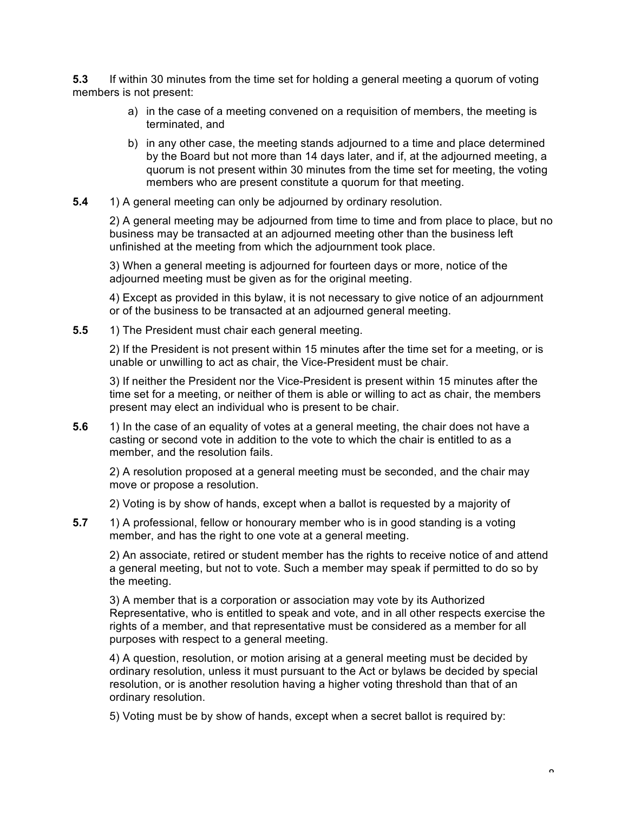**5.3** If within 30 minutes from the time set for holding a general meeting a quorum of voting members is not present:

- a) in the case of a meeting convened on a requisition of members, the meeting is terminated, and
- b) in any other case, the meeting stands adjourned to a time and place determined by the Board but not more than 14 days later, and if, at the adjourned meeting, a quorum is not present within 30 minutes from the time set for meeting, the voting members who are present constitute a quorum for that meeting.
- **5.4** 1) A general meeting can only be adjourned by ordinary resolution.

2) A general meeting may be adjourned from time to time and from place to place, but no business may be transacted at an adjourned meeting other than the business left unfinished at the meeting from which the adjournment took place.

3) When a general meeting is adjourned for fourteen days or more, notice of the adjourned meeting must be given as for the original meeting.

4) Except as provided in this bylaw, it is not necessary to give notice of an adjournment or of the business to be transacted at an adjourned general meeting.

**5.5** 1) The President must chair each general meeting.

2) If the President is not present within 15 minutes after the time set for a meeting, or is unable or unwilling to act as chair, the Vice-President must be chair.

3) If neither the President nor the Vice-President is present within 15 minutes after the time set for a meeting, or neither of them is able or willing to act as chair, the members present may elect an individual who is present to be chair.

**5.6** 1) In the case of an equality of votes at a general meeting, the chair does not have a casting or second vote in addition to the vote to which the chair is entitled to as a member, and the resolution fails.

2) A resolution proposed at a general meeting must be seconded, and the chair may move or propose a resolution.

2) Voting is by show of hands, except when a ballot is requested by a majority of

**5.7** 1) A professional, fellow or honourary member who is in good standing is a voting member, and has the right to one vote at a general meeting.

2) An associate, retired or student member has the rights to receive notice of and attend a general meeting, but not to vote. Such a member may speak if permitted to do so by the meeting.

3) A member that is a corporation or association may vote by its Authorized Representative, who is entitled to speak and vote, and in all other respects exercise the rights of a member, and that representative must be considered as a member for all purposes with respect to a general meeting.

4) A question, resolution, or motion arising at a general meeting must be decided by ordinary resolution, unless it must pursuant to the Act or bylaws be decided by special resolution, or is another resolution having a higher voting threshold than that of an ordinary resolution.

5) Voting must be by show of hands, except when a secret ballot is required by: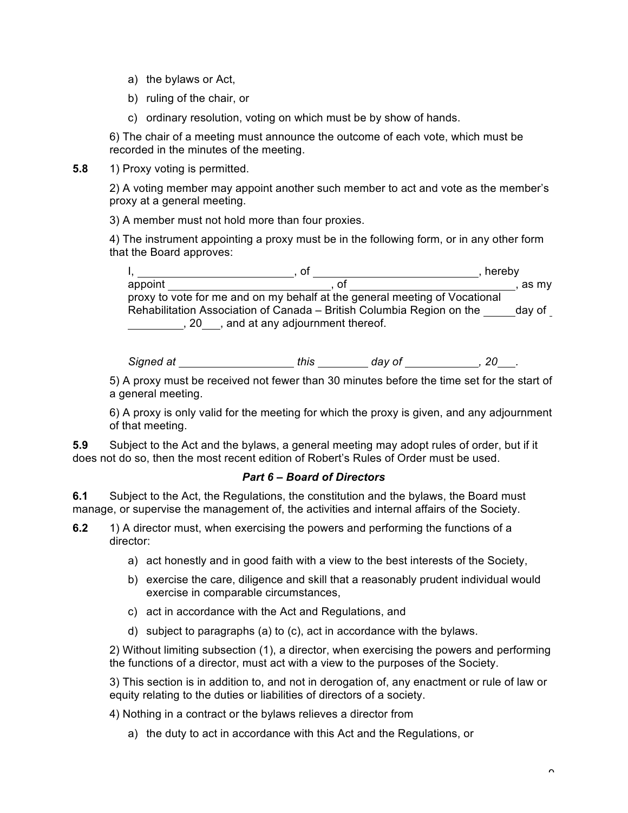- a) the bylaws or Act,
- b) ruling of the chair, or
- c) ordinary resolution, voting on which must be by show of hands.

6) The chair of a meeting must announce the outcome of each vote, which must be recorded in the minutes of the meeting.

**5.8** 1) Proxy voting is permitted.

2) A voting member may appoint another such member to act and vote as the member's proxy at a general meeting.

3) A member must not hold more than four proxies.

4) The instrument appointing a proxy must be in the following form, or in any other form that the Board approves:

|         | ΟĪ                                                                         | hereby |
|---------|----------------------------------------------------------------------------|--------|
| appoint | ΩT                                                                         | as mv  |
|         | proxy to vote for me and on my behalf at the general meeting of Vocational |        |
|         | Rehabilitation Association of Canada – British Columbia Region on the      | day of |
|         | , and at any adjournment thereof.                                          |        |

*Signed at this day of , 20 .*

5) A proxy must be received not fewer than 30 minutes before the time set for the start of a general meeting.

6) A proxy is only valid for the meeting for which the proxy is given, and any adjournment of that meeting.

**5.9** Subject to the Act and the bylaws, a general meeting may adopt rules of order, but if it does not do so, then the most recent edition of Robert's Rules of Order must be used.

# *Part 6 – Board of Directors*

**6.1** Subject to the Act, the Regulations, the constitution and the bylaws, the Board must manage, or supervise the management of, the activities and internal affairs of the Society.

- **6.2** 1) A director must, when exercising the powers and performing the functions of a director:
	- a) act honestly and in good faith with a view to the best interests of the Society,
	- b) exercise the care, diligence and skill that a reasonably prudent individual would exercise in comparable circumstances,
	- c) act in accordance with the Act and Regulations, and
	- d) subject to paragraphs (a) to (c), act in accordance with the bylaws.

2) Without limiting subsection (1), a director, when exercising the powers and performing the functions of a director, must act with a view to the purposes of the Society.

3) This section is in addition to, and not in derogation of, any enactment or rule of law or equity relating to the duties or liabilities of directors of a society.

4) Nothing in a contract or the bylaws relieves a director from

a) the duty to act in accordance with this Act and the Regulations, or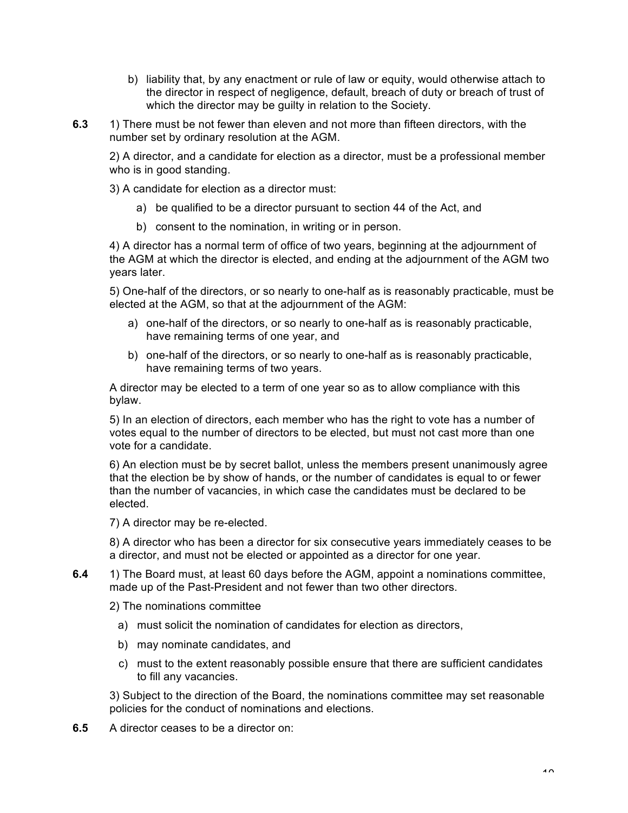- b) liability that, by any enactment or rule of law or equity, would otherwise attach to the director in respect of negligence, default, breach of duty or breach of trust of which the director may be guilty in relation to the Society.
- **6.3** 1) There must be not fewer than eleven and not more than fifteen directors, with the number set by ordinary resolution at the AGM.

2) A director, and a candidate for election as a director, must be a professional member who is in good standing.

3) A candidate for election as a director must:

- a) be qualified to be a director pursuant to section 44 of the Act, and
- b) consent to the nomination, in writing or in person.

4) A director has a normal term of office of two years, beginning at the adjournment of the AGM at which the director is elected, and ending at the adjournment of the AGM two years later.

5) One-half of the directors, or so nearly to one-half as is reasonably practicable, must be elected at the AGM, so that at the adjournment of the AGM:

- a) one-half of the directors, or so nearly to one-half as is reasonably practicable, have remaining terms of one year, and
- b) one-half of the directors, or so nearly to one-half as is reasonably practicable, have remaining terms of two years.

A director may be elected to a term of one year so as to allow compliance with this bylaw.

5) In an election of directors, each member who has the right to vote has a number of votes equal to the number of directors to be elected, but must not cast more than one vote for a candidate.

6) An election must be by secret ballot, unless the members present unanimously agree that the election be by show of hands, or the number of candidates is equal to or fewer than the number of vacancies, in which case the candidates must be declared to be elected.

7) A director may be re-elected.

8) A director who has been a director for six consecutive years immediately ceases to be a director, and must not be elected or appointed as a director for one year.

**6.4** 1) The Board must, at least 60 days before the AGM, appoint a nominations committee, made up of the Past-President and not fewer than two other directors.

2) The nominations committee

- a) must solicit the nomination of candidates for election as directors,
- b) may nominate candidates, and
- c) must to the extent reasonably possible ensure that there are sufficient candidates to fill any vacancies.

3) Subject to the direction of the Board, the nominations committee may set reasonable policies for the conduct of nominations and elections.

**6.5** A director ceases to be a director on: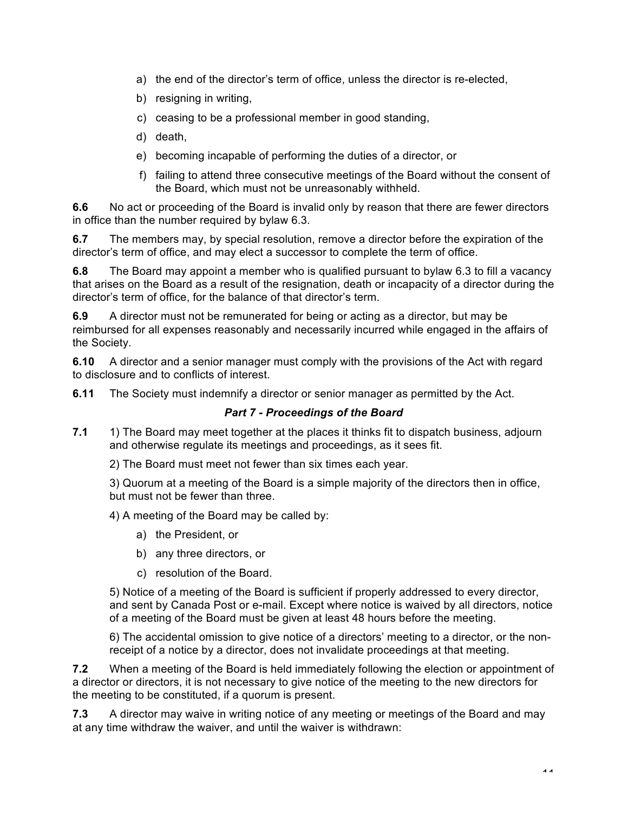- a) the end of the director's term of office, unless the director is re-elected,
- b) resigning in writing,
- c) ceasing to be a professional member in good standing,
- d) death,
- e) becoming incapable of performing the duties of a director, or
- f) failing to attend three consecutive meetings of the Board without the consent of the Board, which must not be unreasonably withheld.

**6.6** No act or proceeding of the Board is invalid only by reason that there are fewer directors in office than the number required by bylaw 6.3.

**6.7** The members may, by special resolution, remove a director before the expiration of the director's term of office, and may elect a successor to complete the term of office.

**6.8** The Board may appoint a member who is qualified pursuant to bylaw 6.3 to fill a vacancy that arises on the Board as a result of the resignation, death or incapacity of a director during the director's term of office, for the balance of that director's term.

**6.9** A director must not be remunerated for being or acting as a director, but may be reimbursed for all expenses reasonably and necessarily incurred while engaged in the affairs of the Society.

**6.10** A director and a senior manager must comply with the provisions of the Act with regard to disclosure and to conflicts of interest.

**6.11** The Society must indemnify a director or senior manager as permitted by the Act.

### *Part 7 - Proceedings of the Board*

**7.1** 1) The Board may meet together at the places it thinks fit to dispatch business, adjourn and otherwise regulate its meetings and proceedings, as it sees fit.

2) The Board must meet not fewer than six times each year.

3) Quorum at a meeting of the Board is a simple majority of the directors then in office, but must not be fewer than three.

4) A meeting of the Board may be called by:

- a) the President, or
- b) any three directors, or
- c) resolution of the Board.

5) Notice of a meeting of the Board is sufficient if properly addressed to every director, and sent by Canada Post or e-mail. Except where notice is waived by all directors, notice of a meeting of the Board must be given at least 48 hours before the meeting.

6) The accidental omission to give notice of a directors' meeting to a director, or the nonreceipt of a notice by a director, does not invalidate proceedings at that meeting.

**7.2** When a meeting of the Board is held immediately following the election or appointment of a director or directors, it is not necessary to give notice of the meeting to the new directors for the meeting to be constituted, if a quorum is present.

**7.3** A director may waive in writing notice of any meeting or meetings of the Board and may at any time withdraw the waiver, and until the waiver is withdrawn: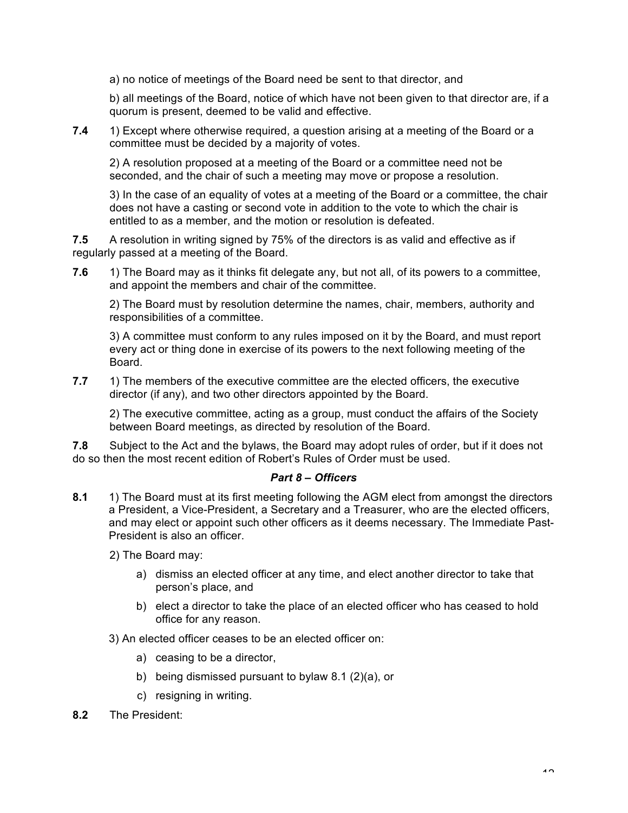a) no notice of meetings of the Board need be sent to that director, and

b) all meetings of the Board, notice of which have not been given to that director are, if a quorum is present, deemed to be valid and effective.

**7.4** 1) Except where otherwise required, a question arising at a meeting of the Board or a committee must be decided by a majority of votes.

2) A resolution proposed at a meeting of the Board or a committee need not be seconded, and the chair of such a meeting may move or propose a resolution.

3) In the case of an equality of votes at a meeting of the Board or a committee, the chair does not have a casting or second vote in addition to the vote to which the chair is entitled to as a member, and the motion or resolution is defeated.

**7.5** A resolution in writing signed by 75% of the directors is as valid and effective as if regularly passed at a meeting of the Board.

**7.6** 1) The Board may as it thinks fit delegate any, but not all, of its powers to a committee, and appoint the members and chair of the committee.

2) The Board must by resolution determine the names, chair, members, authority and responsibilities of a committee.

3) A committee must conform to any rules imposed on it by the Board, and must report every act or thing done in exercise of its powers to the next following meeting of the Board.

**7.7** 1) The members of the executive committee are the elected officers, the executive director (if any), and two other directors appointed by the Board.

2) The executive committee, acting as a group, must conduct the affairs of the Society between Board meetings, as directed by resolution of the Board.

**7.8** Subject to the Act and the bylaws, the Board may adopt rules of order, but if it does not do so then the most recent edition of Robert's Rules of Order must be used.

#### *Part 8 – Officers*

**8.1** 1) The Board must at its first meeting following the AGM elect from amongst the directors a President, a Vice-President, a Secretary and a Treasurer, who are the elected officers, and may elect or appoint such other officers as it deems necessary. The Immediate Past-President is also an officer.

2) The Board may:

- a) dismiss an elected officer at any time, and elect another director to take that person's place, and
- b) elect a director to take the place of an elected officer who has ceased to hold office for any reason.

3) An elected officer ceases to be an elected officer on:

- a) ceasing to be a director,
- b) being dismissed pursuant to bylaw 8.1 (2)(a), or
- c) resigning in writing.
- **8.2** The President: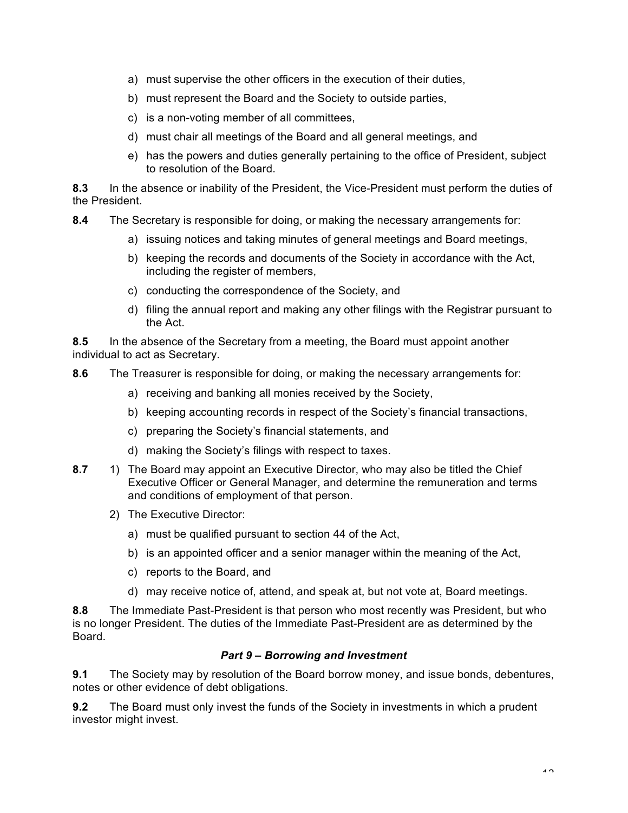- a) must supervise the other officers in the execution of their duties,
- b) must represent the Board and the Society to outside parties,
- c) is a non-voting member of all committees,
- d) must chair all meetings of the Board and all general meetings, and
- e) has the powers and duties generally pertaining to the office of President, subject to resolution of the Board.

**8.3** In the absence or inability of the President, the Vice-President must perform the duties of the President.

- **8.4** The Secretary is responsible for doing, or making the necessary arrangements for:
	- a) issuing notices and taking minutes of general meetings and Board meetings,
	- b) keeping the records and documents of the Society in accordance with the Act, including the register of members,
	- c) conducting the correspondence of the Society, and
	- d) filing the annual report and making any other filings with the Registrar pursuant to the Act.

**8.5** In the absence of the Secretary from a meeting, the Board must appoint another individual to act as Secretary.

- **8.6** The Treasurer is responsible for doing, or making the necessary arrangements for:
	- a) receiving and banking all monies received by the Society,
	- b) keeping accounting records in respect of the Society's financial transactions,
	- c) preparing the Society's financial statements, and
	- d) making the Society's filings with respect to taxes.
- **8.7** 1) The Board may appoint an Executive Director, who may also be titled the Chief Executive Officer or General Manager, and determine the remuneration and terms and conditions of employment of that person.
	- 2) The Executive Director:
		- a) must be qualified pursuant to section 44 of the Act,
		- b) is an appointed officer and a senior manager within the meaning of the Act,
		- c) reports to the Board, and
		- d) may receive notice of, attend, and speak at, but not vote at, Board meetings.

**8.8** The Immediate Past-President is that person who most recently was President, but who is no longer President. The duties of the Immediate Past-President are as determined by the Board.

## *Part 9 – Borrowing and Investment*

**9.1** The Society may by resolution of the Board borrow money, and issue bonds, debentures, notes or other evidence of debt obligations.

**9.2** The Board must only invest the funds of the Society in investments in which a prudent investor might invest.